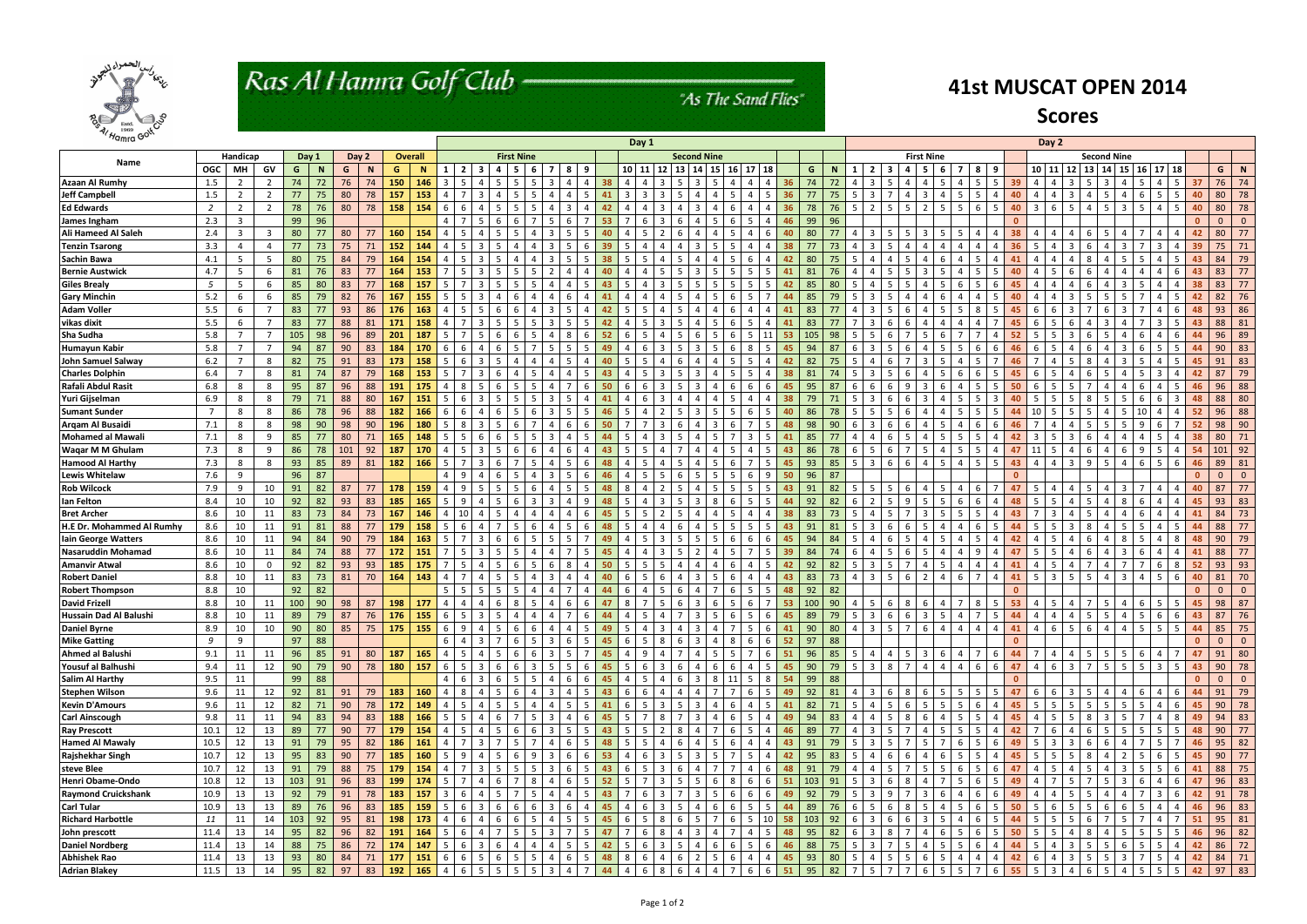

# Ras Al Hamra Golf Club -

### "As The Sand Flies"

| Hamra Goll                 |      |                |                |     |          | Day 1 |             |     |           |                                                                                                                                 |                         |                                   |                         |                        |                     |                      |                    |         | Day 2          |              |                |                |                     |             |         |              |                 |                   |                |                             |                |                |                    |                |                         |                       |                          |                                   |            |                 |              |                |                |
|----------------------------|------|----------------|----------------|-----|----------|-------|-------------|-----|-----------|---------------------------------------------------------------------------------------------------------------------------------|-------------------------|-----------------------------------|-------------------------|------------------------|---------------------|----------------------|--------------------|---------|----------------|--------------|----------------|----------------|---------------------|-------------|---------|--------------|-----------------|-------------------|----------------|-----------------------------|----------------|----------------|--------------------|----------------|-------------------------|-----------------------|--------------------------|-----------------------------------|------------|-----------------|--------------|----------------|----------------|
|                            |      | Handicap       |                |     | Day 1    |       | Day 2       |     | Overall   | <b>First Nine</b>                                                                                                               |                         |                                   |                         |                        |                     |                      | <b>Second Nine</b> |         |                |              |                |                |                     |             |         |              |                 |                   |                | <b>First Nine</b>           |                |                | <b>Second Nine</b> |                |                         |                       |                          |                                   |            |                 |              |                |                |
| Name                       | OGC  | MН             | GV             | G   | <b>N</b> | G     | $\mathbf N$ | G   |           |                                                                                                                                 | $\overline{\mathbf{3}}$ | $\mathbf{a}$<br>-5                | - 6                     |                        | 8 <sup>1</sup><br>9 |                      |                    | 10 11   | <b>12</b>      | $13 \mid 14$ | <b>15</b>      | 16             | 17 18               |             | G       |              | $\mathbf{1}$    | $2 \mid 3$        | $\overline{a}$ | - 5<br>- 6                  |                | -8             | -9                 |                |                         | 10 11 12 13           | 14                       | 15                                | $16$ 17 18 |                 |              | G              | N              |
| <b>Azaan Al Rumhy</b>      | 1.5  | -2             |                | 74  | 72       | 76    | 74          | 150 | 146       | - 3                                                                                                                             |                         |                                   |                         |                        |                     |                      |                    |         |                |              |                |                |                     | 36          | 74      | 72           |                 |                   |                |                             |                |                | 39                 |                |                         |                       |                          |                                   |            |                 |              | 76             | 74             |
| <b>Jeff Campbell</b>       | 1.5  | $\overline{2}$ | $\overline{2}$ | 77  | 75       | 80    | 78          | 157 | 153       | 4                                                                                                                               |                         |                                   |                         |                        |                     |                      |                    |         |                |              |                |                |                     | 36          | 77      | 75           | -5              |                   |                |                             |                |                | 40                 |                |                         |                       |                          |                                   |            |                 | 40           | 80             | 78             |
| <b>Ed Edwards</b>          | 2    | $\overline{2}$ | $\overline{2}$ | 78  | 76       | 80    | 78          | 158 | 154       | - 6                                                                                                                             |                         | 5                                 |                         |                        |                     |                      |                    |         |                |              |                |                |                     | -36         | 78      | 76           | -5              | .5.               | -5             | - 5                         |                | 6              | 40.<br>-5          |                |                         | $\mathbf{A}$          | .5.                      |                                   |            | -5.             | -40          | 80             | 78             |
| James Ingham               | 2.3  | 3              |                | 99  | 96       |       |             |     |           | $\Delta$                                                                                                                        |                         | 6                                 |                         |                        | 6                   |                      |                    | -6      |                |              | -5             | -6             |                     | 46          | 99      | 96           |                 |                   |                |                             |                |                |                    |                |                         |                       |                          |                                   |            |                 | n            | $\Omega$       | $\mathbf{0}$   |
| <b>Ali Hameed Al Saleh</b> | 2.4  | 3              | -3             | 80  | 77       | 80    | 77          | 160 | 154       |                                                                                                                                 |                         |                                   |                         |                        |                     |                      |                    |         |                |              |                |                |                     | 40          | 80      | 77           |                 |                   |                |                             |                |                |                    |                |                         |                       |                          |                                   |            |                 |              | 80             | 77             |
| <b>Tenzin Tsarong</b>      | 3.3  | 4              | $\Delta$       | -77 | 73       |       | 71          | 152 | 144       |                                                                                                                                 |                         |                                   |                         |                        |                     |                      |                    |         |                |              |                |                |                     |             |         |              |                 |                   |                |                             |                |                |                    |                |                         |                       |                          |                                   |            |                 |              | 75             | 71             |
| <b>Sachin Bawa</b>         | 4.1  | -5             | .5             | 80  | 75       | 84    | 79          | 164 | 154       |                                                                                                                                 |                         |                                   |                         |                        |                     |                      |                    |         |                |              |                |                |                     |             | 80      |              |                 |                   |                |                             |                |                |                    |                |                         |                       |                          |                                   |            |                 |              | 84             | 79             |
| <b>Bernie Austwick</b>     | 4.7  | -5             | 6              | 81  |          | 83    | 77          | 164 |           |                                                                                                                                 |                         |                                   |                         |                        |                     |                      |                    |         |                |              |                |                |                     |             |         |              |                 |                   |                |                             |                |                |                    |                |                         |                       |                          |                                   |            |                 |              | 83             | 77             |
| <b>Giles Brealy</b>        | - 5  |                |                | 85  | 80       | 83    |             | 168 |           |                                                                                                                                 |                         |                                   |                         |                        |                     |                      |                    |         |                |              |                |                |                     |             |         |              |                 |                   |                |                             |                |                |                    |                |                         |                       |                          |                                   |            |                 |              | 83             | 77             |
| <b>Gary Minchin</b>        | 5.2  | -6             | 6              | 85  | 79       | 82    | 76          | 167 |           |                                                                                                                                 |                         |                                   |                         |                        |                     |                      |                    |         |                |              |                |                |                     |             |         |              |                 |                   |                |                             |                |                |                    |                |                         |                       |                          |                                   |            |                 |              | 82             | 76             |
| <b>Adam Voller</b>         | 5.5  | -6             | 7              | 83  | 77       | 93    | 86          | 176 | 163       |                                                                                                                                 |                         |                                   |                         |                        |                     |                      |                    |         |                |              |                |                |                     | 41          | 83      |              |                 |                   |                |                             |                |                |                    |                |                         |                       |                          |                                   |            |                 |              | 93             | 86             |
| vikas dixit                | 5.5  | -6             |                | 83  | 77       | 88    | 81          | 171 | 158       |                                                                                                                                 |                         |                                   |                         |                        |                     |                      |                    |         |                |              |                |                |                     | 41          | 83      |              |                 |                   |                |                             |                |                |                    |                |                         |                       |                          |                                   |            |                 |              | 88             | 81             |
| <b>Sha Sudha</b>           | 5.8  |                |                | 105 | 98       | 96    | 89          | 201 | 187       |                                                                                                                                 |                         |                                   |                         |                        |                     |                      |                    |         |                |              |                |                |                     | 53          | 105     | -98          |                 |                   |                |                             |                |                |                    |                |                         |                       |                          |                                   |            |                 |              | 96             | 89             |
| <b>Humayun Kabir</b>       | 5.8  |                |                | 94  | -87      | 90    | 83          | 184 | 170       |                                                                                                                                 |                         |                                   |                         |                        |                     |                      |                    |         |                |              |                |                |                     | 45          | 94      | 87           |                 |                   |                |                             |                |                |                    |                |                         |                       |                          |                                   |            |                 |              | 90             | 83             |
| John Samuel Salway         | 6.2  |                | 8              | 82  | 75       | 91    | 83          | 173 | 158       |                                                                                                                                 |                         |                                   |                         |                        |                     |                      |                    |         |                |              |                |                |                     |             | 82      |              |                 |                   |                |                             |                |                |                    |                |                         |                       |                          |                                   |            |                 |              | 91             | 83             |
| <b>Charles Dolphin</b>     | 6.4  |                | 8              | 81  | 74       | 87    | 79          | 168 | 153       |                                                                                                                                 |                         |                                   |                         |                        |                     |                      |                    |         |                |              |                |                |                     | 38          | 81      |              |                 |                   |                |                             |                |                |                    |                |                         |                       |                          |                                   |            |                 |              | 87             | 79             |
| Rafali Abdul Rasit         | 6.8  | 8              | 8              | 95  | 87       | 96    | 88          | 191 | 175       |                                                                                                                                 |                         |                                   |                         |                        |                     |                      |                    |         |                |              |                |                |                     |             | 95      |              |                 |                   |                |                             |                |                |                    |                |                         |                       |                          |                                   |            |                 |              | 96             | 88             |
| Yuri Gijselman             | 6.9  | 8              | -8             | 79  | -71      | 88    | 80          | 167 | 151       |                                                                                                                                 |                         |                                   |                         |                        |                     |                      |                    |         |                |              |                |                |                     | -38         | 79      |              |                 |                   |                |                             |                |                |                    |                |                         |                       |                          |                                   |            |                 |              | 88             | 80             |
| <b>Sumant Sunder</b>       | 7    | 8              | 8              | 86  | 78       | 96    | 88          | 182 | 166       |                                                                                                                                 |                         |                                   |                         |                        |                     |                      |                    |         |                |              |                |                |                     | 40          | 86      |              |                 |                   |                |                             |                |                |                    |                |                         |                       |                          |                                   |            |                 |              | 96             | 88             |
| Arqam Al Busaidi           | 7.1  | 8              | 8              | 98  | 90       | 98    | 90          | 196 | 180       |                                                                                                                                 |                         |                                   |                         |                        |                     |                      |                    |         |                |              |                |                |                     |             | 98      |              |                 |                   |                |                             |                |                |                    |                |                         |                       |                          |                                   |            |                 |              | 98             | 90             |
| <b>Mohamed al Mawali</b>   | 7.1  | 8              | q              | 85  | 77       | 80    | 71          | 165 | 148       |                                                                                                                                 |                         |                                   |                         |                        |                     |                      |                    |         |                |              |                |                |                     | 41          | 85      |              |                 |                   |                |                             |                |                |                    |                |                         |                       |                          |                                   |            |                 |              | 80             | 71             |
| <b>Wagar M M Ghulam</b>    | 7.3  | 8              | 9              | 86  | 78       | 101   | 92          | 187 | 170       |                                                                                                                                 |                         |                                   |                         |                        |                     |                      |                    |         |                |              |                |                |                     | 43          | 86      | 78           |                 |                   |                |                             |                |                |                    |                |                         |                       |                          |                                   |            |                 |              | 101            | 92             |
| <b>Hamood Al Harthy</b>    | 7.3  | 8              | 8              | -93 | 85       | 89    | 81          | 182 | 166       |                                                                                                                                 |                         |                                   |                         |                        |                     |                      |                    |         |                |              |                |                |                     |             | 93      | 85           | -5              |                   |                |                             |                |                | 43                 |                |                         |                       |                          |                                   |            |                 |              | 89             | 81             |
| <b>Lewis Whitelaw</b>      | 7.6  | 9              |                | 96  | 87       |       |             |     |           |                                                                                                                                 |                         |                                   |                         |                        |                     |                      |                    |         |                |              |                |                |                     | 50          | 96      | 87           |                 |                   |                |                             |                |                |                    |                |                         |                       |                          |                                   |            |                 |              |                | $\Omega$       |
| <b>Rob Wilcock</b>         | 7.9  | 9              | 10             | 91  | 82       | 87    | 77          | 178 | 159       |                                                                                                                                 |                         |                                   |                         |                        |                     |                      |                    |         |                |              |                |                |                     |             |         |              |                 |                   |                |                             |                |                |                    |                |                         |                       |                          |                                   |            |                 |              | 87             | 77             |
| lan Felton                 | 8.4  | 10             | 10             | 92  | 82       | 93    | 83          | 185 | 165       |                                                                                                                                 |                         |                                   |                         |                        |                     |                      |                    |         |                |              |                |                |                     |             | 92      |              |                 |                   |                |                             |                |                |                    |                |                         |                       |                          |                                   |            |                 |              | 93             | 83             |
| <b>Bret Archer</b>         | 8.6  | 10             | 11             | 83  | 73       | 84    | 73          | 167 | 146       |                                                                                                                                 |                         |                                   |                         |                        |                     |                      |                    |         |                |              |                |                |                     |             | 83      |              |                 |                   |                |                             |                |                |                    |                |                         |                       |                          |                                   |            |                 |              | 84             | 73             |
| H.E Dr. Mohammed Al Rumhy  | 8.6  | 10             | 11             | 91  | 81       | 88    | 77          | 179 | 158       |                                                                                                                                 |                         |                                   |                         |                        |                     |                      |                    |         |                |              |                |                |                     | 43          | 91      |              |                 |                   |                |                             |                |                |                    |                |                         |                       |                          |                                   |            |                 |              | 88             | 77             |
| lain George Watters        | 8.6  | 10             | 11             | 94  | 84       | 90    | 79          | 184 | 163       |                                                                                                                                 |                         |                                   |                         |                        |                     |                      |                    |         |                |              |                |                |                     | 45          | 94      |              |                 |                   |                |                             |                |                |                    |                |                         |                       |                          |                                   |            |                 |              | 90             | 79             |
| <b>Nasaruddin Mohamad</b>  | 8.6  | 10             | 11             | 84  | 74       | 88    | 77          | 172 | 151       |                                                                                                                                 |                         |                                   |                         |                        |                     |                      |                    |         |                |              |                |                |                     | 39          | 84      |              |                 |                   |                |                             |                |                |                    |                |                         |                       |                          |                                   |            |                 |              | 88             | 77             |
| <b>Amanvir Atwal</b>       | 8.6  | 10             | $\overline{0}$ | 92  | 82       | 93    | 93          | 185 | 175       |                                                                                                                                 |                         |                                   |                         |                        |                     |                      |                    |         |                |              |                |                |                     |             | 92      | 82           |                 |                   |                |                             |                |                |                    |                |                         |                       |                          |                                   |            |                 |              | 93             | 93             |
| <b>Robert Daniel</b>       | 8.8  | 10             | 11             | 83  | 73       | 81    | 70          | 164 | 143       | -4                                                                                                                              |                         |                                   |                         |                        |                     |                      |                    |         |                |              |                | -6             |                     | 43          | 83      | 73           | 4               | 5                 |                |                             |                |                | 41                 |                | -3                      |                       | Δ                        |                                   |            | 6               | 40           | 81             | 70             |
| <b>Robert Thompson</b>     | 8.8  | 10             |                | 92  | 82       |       |             |     |           |                                                                                                                                 |                         |                                   |                         |                        |                     |                      |                    |         |                |              |                | -6             | -5                  | 48          | 92      | 82           |                 |                   |                |                             |                |                |                    |                |                         |                       |                          |                                   |            |                 | $\Omega$     |                | $\Omega$       |
| <b>David Frizell</b>       | 8.8  | 10             | 11             | 100 | 90       | 98    | 87          | 198 | 177       |                                                                                                                                 |                         | 6                                 |                         |                        |                     |                      |                    |         |                |              |                |                | -6                  | 53          | 100     | 90           | 4               |                   |                |                             |                |                | 53.                |                |                         |                       |                          |                                   |            | -5              | 45           | 98             | 87             |
| Hussain Dad Al Balushi     | 8.8  | 10             | 11             | 89  | 79       | 87    | 76          | 176 | 155       | - 6<br>I 5                                                                                                                      | 3                       | 5<br>4                            | 4                       |                        | 7                   | -6<br>44             | $\Delta$           | -5      | $\overline{a}$ | 3            | -5             | -6             | -5                  | 45          | 89      | 79           | - 5 I           | 6                 | -6             | -3<br>l 5                   |                | 7              | 44                 | $\Delta$       |                         | -5                    | 5                        | 4<br>-5                           |            | 6               | -43          | 87             | 76             |
| <b>Daniel Byrne</b>        | 8.9  | 10             | 10             | 90  | 80       |       |             |     |           | 85   75   175   175   6   9   4   5   6   6   4   4   5   49   5   4   3   4   3   4   7   5   6   41   90   80   4   3   5   7 |                         |                                   |                         |                        |                     |                      |                    |         |                |              |                |                |                     |             |         |              |                 |                   |                | $6$ 4 4 4 4                 |                |                | 41                 |                |                         |                       | 4 6 5 6 4 4 5 5 4 4 8 75 |                                   |            |                 |              |                |                |
| <b>Mike Gatting</b>        | 9    | 9              |                | 97  | 88       |       |             |     |           | $6 \mid 4 \mid$                                                                                                                 | $\overline{3}$          | $\overline{7}$<br>- 6             |                         | $5 \mid 3 \mid 6$      |                     | 5 <sup>5</sup><br>45 | 6                  | - 5 - 1 | 8 <sup>1</sup> | 6 3          | $4 \mid 8$     |                | 6 6 52              |             | $97$ 88 |              |                 |                   |                |                             |                |                |                    |                |                         |                       |                          |                                   |            |                 | $\Omega$     | $\overline{0}$ | $\overline{0}$ |
| Ahmed al Balushi           | 9.1  | 11             | 11             | 96  | 85       | 91    | 80          |     | $187$ 165 | $4 \mid 5 \mid$                                                                                                                 | 4                       | 5<br>6                            |                         | $6 \mid 3 \mid 5$      |                     | $\overline{7}$<br>45 | 4                  | 9       | $-4$           | 714          | 5 <sub>1</sub> | 5              | - 7 I               | $6\quad 51$ |         |              |                 | 96 85 5 4 4 5     |                | 3 6                         |                | 4   7          | 44<br>6            | -7             | 4 I                     | $4 \mid 5 \mid 5$     |                          | - 5                               |            | 7               | 47           | 91 80          |                |
| Yousuf al Balhushi         | 9.4  | 11             | 12             | 90  | 79       | 90    | 78          | 180 | 157       | $6 \mid 5$                                                                                                                      | $\overline{3}$          | 6<br>- 6                          | $\overline{\mathbf{3}}$ | I 5 I                  | 5                   | 6<br>45              | 5                  | -6      | -3             | 4            | 6              | 6              | 4<br>- 5            | 45          | 90      | 79           |                 | 5 3 8             | $\overline{7}$ | $\overline{4}$<br>$\vert$ 4 |                | 6              | 47<br>6            | $\overline{a}$ | -6                      | $\overline{7}$<br>3 I | 5                        | 5<br>- 5                          | 3 I        | 5               | 43           | 90             | 78             |
| <b>Salim Al Harthy</b>     | 9.5  | 11             |                | 99  | 88       |       |             |     |           | $\overline{4}$                                                                                                                  | $\overline{\mathbf{3}}$ | 6<br>-5                           | -5                      |                        | 6<br>-6             | 45                   |                    | - 5     | $\overline{4}$ | 3            | 8              | 11             | - 5<br>-8           | 54          | 99      | 88           |                 |                   |                |                             |                |                | $\Omega$           |                |                         |                       |                          |                                   |            |                 | $\mathbf{0}$ | $\overline{0}$ | $\mathbf{0}$   |
| <b>Stephen Wilson</b>      | 9.6  | 11             | 12             | 92  | 81       | 91    | 79          | 183 | 160       | $\overline{a}$                                                                                                                  |                         |                                   |                         |                        | 5                   |                      |                    |         |                |              |                |                |                     | 49          | 92      | 81           |                 |                   |                |                             |                |                |                    |                |                         |                       |                          |                                   |            |                 |              | 91             | 79             |
| <b>Kevin D'Amours</b>      | 9.6  | 11             | 12             | 82  | 71       | 90    | 78          | 172 | 149       | 4                                                                                                                               |                         | -5                                |                         |                        |                     | -5                   | -6                 |         |                |              |                | -6             | -4                  | 41          | 82      | 71           |                 |                   |                |                             |                |                | 45                 |                |                         |                       | 5                        |                                   |            | -6              | -45          | 90             | 78             |
| <b>Carl Ainscough</b>      | 9.8  | 11             | 11             | 94  | 83       | 94    | 83          | 188 | 166       | - 5                                                                                                                             |                         | 6                                 |                         |                        | 4                   | 45<br>6              | 5                  | - 7     | -8             | 3            | 4              | - 6            | -5                  | 49          | 94      | 83           |                 | -5                |                | -6<br>4                     |                | .5             | 45                 | 4              |                         | 8                     | 3                        | -5                                |            | 8               | 49           | 94             | 83             |
| <b>Ray Prescott</b>        | 10.1 | 12             | 13             | 89  | 77       | 90    | 77          | 179 | 154       | -4                                                                                                                              |                         | 5<br>-6                           |                         |                        | $-5 +$              | 5<br>43              | 5                  | -5      |                | 4            |                | - 6            |                     | 46          | 89      | 77           |                 | 5                 |                |                             |                | 5              | 42                 |                |                         | 6                     | 5 <sup>5</sup>           | 5<br>- 5                          |            | $5 \mid 5 \mid$ | 48           | 90             | 77             |
| <b>Hamed Al Mawaly</b>     | 10.5 | 12             | 13             | 91  | 79       | 95    | 82          | 186 | 161       | -4                                                                                                                              |                         |                                   |                         |                        | 6                   | 5<br>48              | 5                  | -5      | 4              | 4            | 5              | -6             | 4                   | 43          | 91      | 79           |                 |                   |                |                             |                | .5             | 49<br>-6           | -5             | -3                      | 6                     | 6                        | 4                                 |            | 7               | 46           | 95             | 82             |
| Rajshekhar Singh           | 10.7 | 12             | 13             | 95  | 83       | 90    | 77          | 185 | 160       | - 5<br>19                                                                                                                       | 4                       | 5<br>-6                           |                         |                        | 6                   | 6<br>53              | 4                  | -6      | 3              | 3            | -5             |                | 5                   | 42          | 95      | 83           | -5              |                   |                | <b>16</b>                   |                | 5              | 45<br>4            | -5             |                         | 8                     | 4                        | - 5                               |            | 6 5             | 45           | 90             | 77             |
| steve Blee                 | 10.7 | 12             | 13             | 91  | 79       | 88    | 75          | 179 | 154       | $\overline{4}$                                                                                                                  | $\overline{3}$          | 5 <sup>5</sup><br>-5              | - 5                     |                        | 6                   | 5<br>43              | 6                  | - 5     | -3             | 4            |                |                | -4                  | 48          | 91      | 79           | -4              | .5                |                | -5<br>l 5                   | -6             | 5              | 47<br>-6           | 4              | - 5                     | -5                    | 4                        | -3<br>- 5                         | 5 I        | 6               | 41           | 88             | 75             |
| Henri Obame-Ondo           | 10.8 | 12             | 13             | 103 | 91       | 96    | 83          | 199 | 174       | $5^{\circ}$                                                                                                                     | 4                       | 6                                 | -8                      |                        | 6                   | 5<br>52              | 5                  |         | -3             | -5           | 6              | - 8            | - 6                 | 51          | 103     | $\vert$ 91   | 5               | 6                 |                |                             |                | 6              | -5<br>49           |                |                         |                       | 5                        | -3                                |            | 6               | 47           | 96             | 83             |
| <b>Raymond Cruickshank</b> | 10.9 | 13             | 13             | 92  | 79       | 91    | 78          | 183 | 157       | 36                                                                                                                              | 4                       | 5                                 | - 5                     |                        | $\overline{4}$      | 5<br>43              |                    | -6      | 3              | 3            | 5              | 6              | - 6                 | 49          | 92      | 79           | 5               | 9                 |                | -3<br>l 6                   |                | 6              | 49<br>-6           |                |                         | 5                     | $\overline{4}$           |                                   |            | 6               | 42           | $91$ 78        |                |
| <b>Carl Tular</b>          | 10.9 | 13             | 13             | 89  | 76       | 96    | 83          | 185 | 159       | $5 \mid 6 \mid$                                                                                                                 | - 3 I                   | 6<br>- 6                          | - 6                     | I3I                    | 6                   | $\overline{4}$<br>45 | $\overline{4}$     | -6      | 3 I            | -4           | 6              | - 6            | - 5 I               | $5 \mid 44$ | 89      | 76           | 615             | 6                 | 8              | 5   4                       |                | 6              | 50<br>-5           | -5             |                         | 5                     | 6                        | -6                                |            | $\overline{4}$  | 46           | $96 \mid 83$   |                |
| <b>Richard Harbottle</b>   | 11   | 11             | 14             | 103 | 92       | 95    | 81          |     | $198$ 173 | 46                                                                                                                              | 4 I                     | - 6<br>6                          | - 5                     | 4 I                    | 5                   | 45<br>5              | 6                  | - 5     | 8              | 6   5        | 7              | - 6            | $5 \mid 10 \mid 58$ |             |         |              | 6 3 1           | 6                 | -6             | 3   5                       | 41             | 6              | 5<br>44            | -5             | - 5                     | 6                     | $7^{\circ}$              | -5                                |            | 7 <sup>1</sup>  | 51           | 95 81          |                |
| John prescott              | 11.4 | 13             | 14             | 95  | 82       | 96    | 82          | 191 | 164       | $5 \mid 6$                                                                                                                      | 4                       | $7\overline{ }$<br>- 5            | 5                       | l 3 l                  | 7 <sup>1</sup>      | 5<br>47              | -7                 | -6      | 8              | 13.          | 4              | $\overline{7}$ | 4 I<br>5            | 48          | 95      | $\vert$ 82   | 613             | 8                 |                | 4<br><b>16</b>              | - 5 I          | 6              | 50<br>-5           | 5              | - 5                     | 8                     | 4                        | - 5<br>- 5                        | -5 I       | 5 <sub>1</sub>  | 46           | 96 82          |                |
| <b>Daniel Nordberg</b>     | 11.4 | 13             | 14             | 88  | 75       | 86    | 72          | 174 | 147       | 5 6 3                                                                                                                           |                         | 6<br>$\overline{4}$               | $\overline{4}$          |                        | 51                  | 5 <sup>5</sup><br>42 | $5^{\circ}$        | 6       | 3              | 514          | 6              | - 6            | 51<br>-6 I          | 46          |         | 88 75        | $5 \mid 3 \mid$ |                   | 5              | 4 5                         | 5              | 6              | 44                 | -5             | 4                       | 5                     | 5                        | -6<br>- 5                         |            | 4               | 42           | 86 72          |                |
| <b>Abhishek Rao</b>        | 11.4 | 13             | 13             | 93  | 80       | 84    | 71          |     | 177 151   | 6 6 5 6                                                                                                                         |                         | 5                                 |                         | $5 \mid 4 \mid 6$      |                     | 5<br>48              | 8                  | 6       | $4 \vert$      | 6 2          | $5 \t6$        |                | $4 \mid$            | $4 \mid 45$ |         | $93 \mid 80$ |                 | $5 \mid 4 \mid 5$ | 5              | 6   5                       | 4 I            | $\overline{4}$ | 42<br>4            | -6             | 4                       | $3 \mid 5 \mid 5$     |                          | 3                                 |            | 541             |              | 42 84 71       |                |
| <b>Adrian Blakey</b>       | 11.5 | 13             | 14             | 95  | 82       | 97    | 83          |     | $192$ 165 | $\vert 4 \vert 6 \vert$                                                                                                         | 5 <sup>1</sup>          | 5 <sub>1</sub><br>$5\phantom{.0}$ |                         | $5 \mid 3 \mid 4 \mid$ |                     | $\overline{7}$<br>44 | $\overline{4}$     | 6       | 8 <sup>8</sup> | 64           | $4 \mid 7$     |                | $6 \t6 \t51$        |             |         |              |                 | 95 82 7 5 7       | 7              | $6 \mid 5 \mid$             | 5 <sup>5</sup> | 7              | 55<br>6            | 5              | $\overline{\mathbf{3}}$ | $4\quad 6$            | 5 <sub>1</sub>           | $\overline{4}$<br>$5\overline{5}$ |            | $5 \mid 5 \mid$ | 42           | $97   83  $    |                |
|                            |      |                |                |     |          |       |             |     |           |                                                                                                                                 |                         |                                   |                         |                        |                     |                      |                    |         |                |              |                |                |                     |             |         |              |                 |                   |                |                             |                |                |                    |                |                         |                       |                          |                                   |            |                 |              |                |                |

### **41st MUSCAT OPEN 2014**

### **Scores**